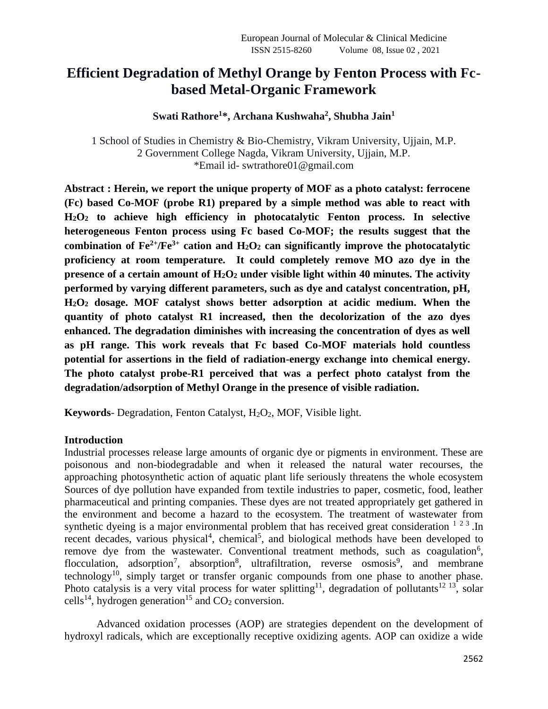# **Efficient Degradation of Methyl Orange by Fenton Process with Fcbased Metal-Organic Framework**

**Swati Rathore<sup>1</sup>\*, Archana Kushwaha<sup>2</sup> , Shubha Jain<sup>1</sup>**

1 School of Studies in Chemistry & Bio-Chemistry, Vikram University, Ujjain, M.P. 2 Government College Nagda, Vikram University, Ujjain, M.P. \*Email id- swtrathore01@gmail.com

**Abstract : Herein, we report the unique property of MOF as a photo catalyst: ferrocene (Fc) based Co-MOF (probe R1) prepared by a simple method was able to react with H2O<sup>2</sup> to achieve high efficiency in photocatalytic Fenton process. In selective heterogeneous Fenton process using Fc based Co-MOF; the results suggest that the combination of Fe2+/Fe3+ cation and H2O<sup>2</sup> can significantly improve the photocatalytic proficiency at room temperature. It could completely remove MO azo dye in the presence of a certain amount of H2O<sup>2</sup> under visible light within 40 minutes. The activity performed by varying different parameters, such as dye and catalyst concentration, pH, H2O<sup>2</sup> dosage. MOF catalyst shows better adsorption at acidic medium. When the quantity of photo catalyst R1 increased, then the decolorization of the azo dyes enhanced. The degradation diminishes with increasing the concentration of dyes as well as pH range. This work reveals that Fc based Co-MOF materials hold countless potential for assertions in the field of radiation-energy exchange into chemical energy. The photo catalyst probe-R1 perceived that was a perfect photo catalyst from the degradation/adsorption of Methyl Orange in the presence of visible radiation.** 

**Keywords**- Degradation, Fenton Catalyst, H<sub>2</sub>O<sub>2</sub>, MOF, Visible light.

### **Introduction**

Industrial processes release large amounts of organic dye or pigments in environment. These are poisonous and non-biodegradable and when it released the natural water recourses, the approaching photosynthetic action of aquatic plant life seriously threatens the whole ecosystem Sources of dye pollution have expanded from textile industries to paper, cosmetic, food, leather pharmaceutical and printing companies. These dyes are not treated appropriately get gathered in the environment and become a hazard to the ecosystem. The treatment of wastewater from synthetic dyeing is a major environmental problem that has received great consideration  $123$ . In recent decades, various physical<sup>4</sup>, chemical<sup>5</sup>, and biological methods have been developed to remove dye from the wastewater. Conventional treatment methods, such as coagulation<sup>6</sup>, flocculation, adsorption<sup>7</sup>, absorption<sup>8</sup>, ultrafiltration, reverse osmosis<sup>9</sup>, and membrane technology<sup>10</sup>, simply target or transfer organic compounds from one phase to another phase. Photo catalysis is a very vital process for water splitting<sup>11</sup>, degradation of pollutants<sup>12 13</sup>, solar cells<sup>14</sup>, hydrogen generation<sup>15</sup> and  $CO<sub>2</sub>$  conversion.

Advanced oxidation processes (AOP) are strategies dependent on the development of hydroxyl radicals, which are exceptionally receptive oxidizing agents. AOP can oxidize a wide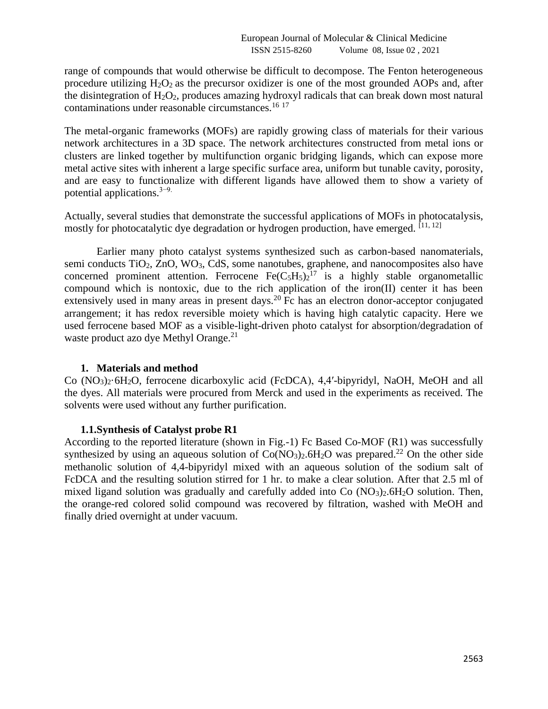range of compounds that would otherwise be difficult to decompose. The Fenton heterogeneous procedure utilizing  $H_2O_2$  as the precursor oxidizer is one of the most grounded AOPs and, after the disintegration of  $H_2O_2$ , produces amazing hydroxyl radicals that can break down most natural contaminations under reasonable circumstances.<sup>16 17</sup>

The metal-organic frameworks (MOFs) are rapidly growing class of materials for their various network architectures in a 3D space. The network architectures constructed from metal ions or clusters are linked together by multifunction organic bridging ligands, which can expose more metal active sites with inherent a large specific surface area, uniform but tunable cavity, porosity, and are easy to functionalize with different ligands have allowed them to show a variety of potential applications.3−9.

Actually, several studies that demonstrate the successful applications of MOFs in photocatalysis, mostly for photocatalytic dye degradation or hydrogen production, have emerged.  $[11, 12]$ 

Earlier many photo catalyst systems synthesized such as carbon-based nanomaterials, semi conducts TiO<sub>2</sub>, ZnO, WO<sub>3</sub>, CdS, some nanotubes, graphene, and nanocomposites also have concerned prominent attention. Ferrocene  $Fe(C_5H_5)_2^{17}$  is a highly stable organometallic compound which is nontoxic, due to the rich application of the iron(II) center it has been extensively used in many areas in present days.<sup>20</sup> Fc has an electron donor-acceptor conjugated arrangement; it has redox reversible moiety which is having high catalytic capacity. Here we used ferrocene based MOF as a visible-light-driven photo catalyst for absorption/degradation of waste product azo dye Methyl Orange.<sup>21</sup>

### **1. Materials and method**

Co (NO3)2·6H2O, ferrocene dicarboxylic acid (FcDCA), 4,4′-bipyridyl, NaOH, MeOH and all the dyes. All materials were procured from Merck and used in the experiments as received. The solvents were used without any further purification.

### **1.1.Synthesis of Catalyst probe R1**

According to the reported literature (shown in Fig.-1) Fc Based Co-MOF (R1) was successfully synthesized by using an aqueous solution of  $Co(NO<sub>3</sub>)<sub>2</sub>$ .6H<sub>2</sub>O was prepared.<sup>22</sup> On the other side methanolic solution of 4,4-bipyridyl mixed with an aqueous solution of the sodium salt of FcDCA and the resulting solution stirred for 1 hr. to make a clear solution. After that 2.5 ml of mixed ligand solution was gradually and carefully added into  $Co (NO<sub>3</sub>)<sub>2</sub> .6H<sub>2</sub>O$  solution. Then, the orange-red colored solid compound was recovered by filtration, washed with MeOH and finally dried overnight at under vacuum.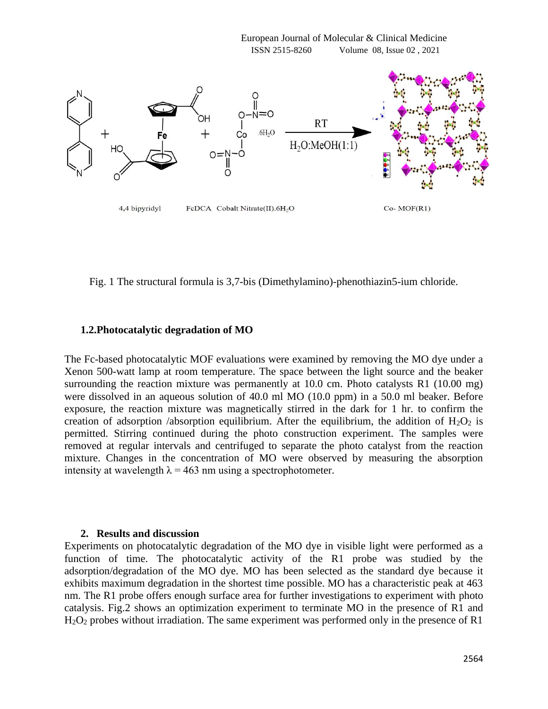

Fig. 1 The structural formula is 3,7-bis (Dimethylamino)-phenothiazin5-ium chloride.

# **1.2.Photocatalytic degradation of MO**

The Fc-based photocatalytic MOF evaluations were examined by removing the MO dye under a Xenon 500-watt lamp at room temperature. The space between the light source and the beaker surrounding the reaction mixture was permanently at 10.0 cm. Photo catalysts R1 (10.00 mg) were dissolved in an aqueous solution of 40.0 ml MO (10.0 ppm) in a 50.0 ml beaker. Before exposure, the reaction mixture was magnetically stirred in the dark for 1 hr. to confirm the creation of adsorption /absorption equilibrium. After the equilibrium, the addition of  $H_2O_2$  is permitted. Stirring continued during the photo construction experiment. The samples were removed at regular intervals and centrifuged to separate the photo catalyst from the reaction mixture. Changes in the concentration of MO were observed by measuring the absorption intensity at wavelength  $\lambda = 463$  nm using a spectrophotometer.

### **2. Results and discussion**

Experiments on photocatalytic degradation of the MO dye in visible light were performed as a function of time. The photocatalytic activity of the R1 probe was studied by the adsorption/degradation of the MO dye. MO has been selected as the standard dye because it exhibits maximum degradation in the shortest time possible. MO has a characteristic peak at 463 nm. The R1 probe offers enough surface area for further investigations to experiment with photo catalysis. Fig.2 shows an optimization experiment to terminate MO in the presence of R1 and H<sub>2</sub>O<sub>2</sub> probes without irradiation. The same experiment was performed only in the presence of R1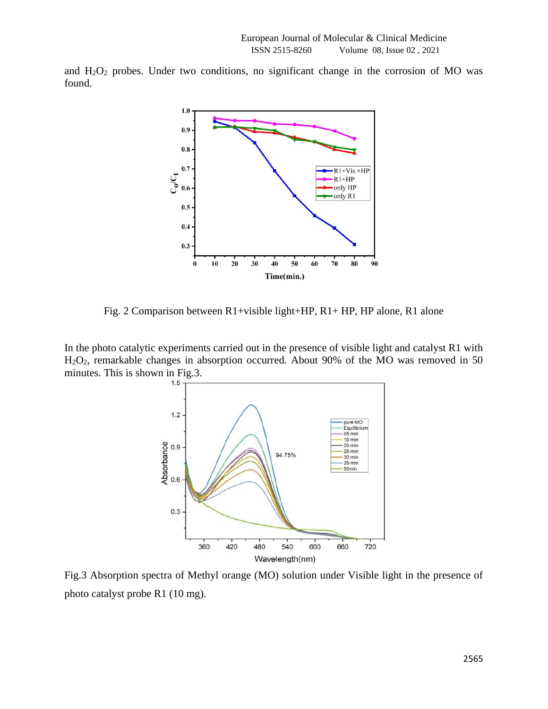and  $H_2O_2$  probes. Under two conditions, no significant change in the corrosion of MO was found.



Fig. 2 Comparison between R1+visible light+HP, R1+ HP, HP alone, R1 alone

In the photo catalytic experiments carried out in the presence of visible light and catalyst R1 with H2O2, remarkable changes in absorption occurred. About 90% of the MO was removed in 50 minutes. This is shown in Fig.3.



Fig.3 Absorption spectra of Methyl orange (MO) solution under Visible light in the presence of photo catalyst probe R1 (10 mg).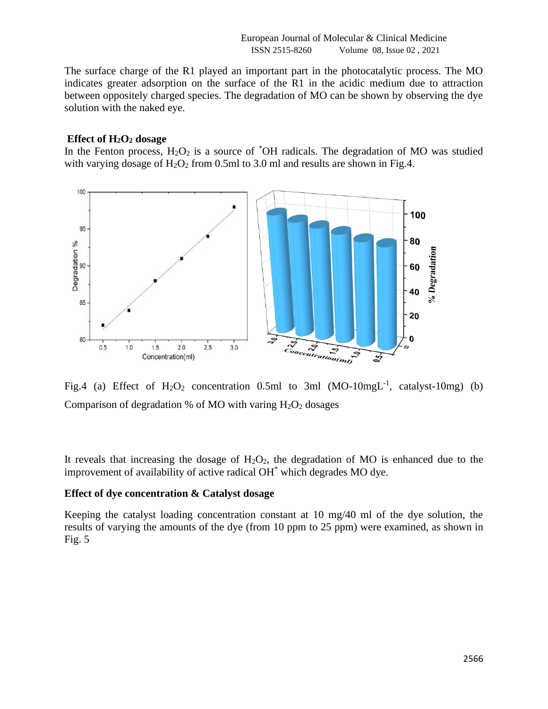European Journal of Molecular & Clinical Medicine ISSN 2515-8260 Volume 08, Issue 02 , 2021

The surface charge of the R1 played an important part in the photocatalytic process. The MO indicates greater adsorption on the surface of the R1 in the acidic medium due to attraction between oppositely charged species. The degradation of MO can be shown by observing the dye solution with the naked eye.

#### **Effect of H2O<sup>2</sup> dosage**

In the Fenton process,  $H_2O_2$  is a source of  $^*OH$  radicals. The degradation of MO was studied with varying dosage of  $H_2O_2$  from 0.5ml to 3.0 ml and results are shown in Fig.4.



Fig.4 (a) Effect of  $H_2O_2$  concentration 0.5ml to 3ml (MO-10mgL<sup>-1</sup>, catalyst-10mg) (b) Comparison of degradation % of MO with varing  $H_2O_2$  dosages

It reveals that increasing the dosage of  $H_2O_2$ , the degradation of MO is enhanced due to the improvement of availability of active radical OH<sup>\*</sup> which degrades MO dye.

### **Effect of dye concentration & Catalyst dosage**

Keeping the catalyst loading concentration constant at 10 mg/40 ml of the dye solution, the results of varying the amounts of the dye (from 10 ppm to 25 ppm) were examined, as shown in Fig. 5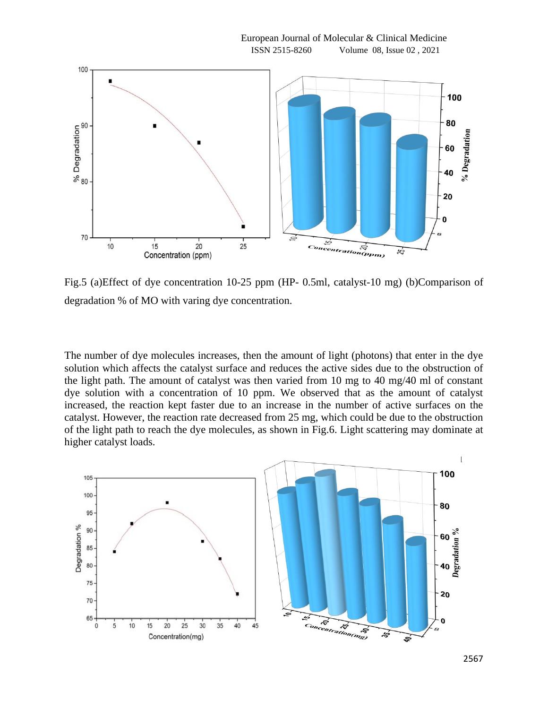

Fig.5 (a)Effect of dye concentration 10-25 ppm (HP- 0.5ml, catalyst-10 mg) (b)Comparison of degradation % of MO with varing dye concentration.

The number of dye molecules increases, then the amount of light (photons) that enter in the dye solution which affects the catalyst surface and reduces the active sides due to the obstruction of the light path. The amount of catalyst was then varied from 10 mg to 40 mg/40 ml of constant dye solution with a concentration of 10 ppm. We observed that as the amount of catalyst increased, the reaction kept faster due to an increase in the number of active surfaces on the catalyst. However, the reaction rate decreased from 25 mg, which could be due to the obstruction of the light path to reach the dye molecules, as shown in Fig.6. Light scattering may dominate at higher catalyst loads.

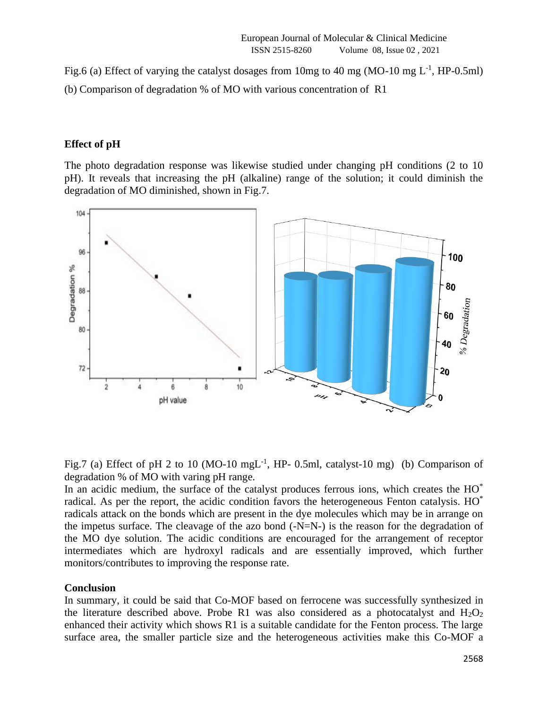Fig.6 (a) Effect of varying the catalyst dosages from 10mg to 40 mg (MO-10 mg  $L^{-1}$ , HP-0.5ml) (b) Comparison of degradation % of MO with various concentration of R1

# **Effect of pH**

The photo degradation response was likewise studied under changing pH conditions (2 to 10 pH). It reveals that increasing the pH (alkaline) range of the solution; it could diminish the degradation of MO diminished, shown in Fig.7.



Fig.7 (a) Effect of pH 2 to 10 (MO-10 mgL<sup>-1</sup>, HP- 0.5ml, catalyst-10 mg) (b) Comparison of degradation % of MO with varing pH range.

In an acidic medium, the surface of the catalyst produces ferrous ions, which creates the HO<sup>\*</sup> radical. As per the report, the acidic condition favors the heterogeneous Fenton catalysis. HO\* radicals attack on the bonds which are present in the dye molecules which may be in arrange on the impetus surface. The cleavage of the azo bond  $(-N=N-)$  is the reason for the degradation of the MO dye solution. The acidic conditions are encouraged for the arrangement of receptor intermediates which are hydroxyl radicals and are essentially improved, which further monitors/contributes to improving the response rate.

### **Conclusion**

In summary, it could be said that Co-MOF based on ferrocene was successfully synthesized in the literature described above. Probe R1 was also considered as a photocatalyst and  $H_2O_2$ enhanced their activity which shows R1 is a suitable candidate for the Fenton process. The large surface area, the smaller particle size and the heterogeneous activities make this Co-MOF a